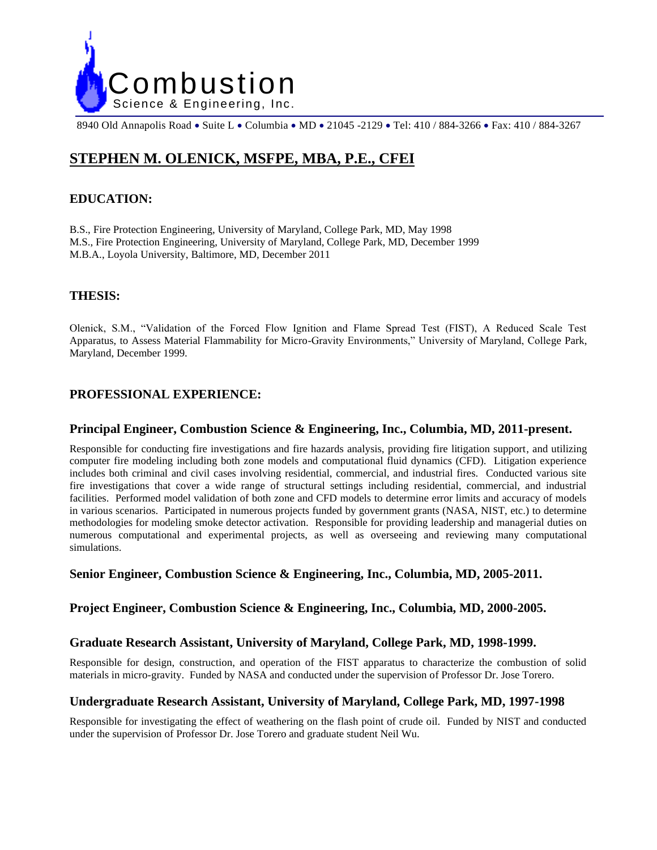

8940 Old Annapolis Road • Suite L • Columbia • MD • 21045 -2129 • Tel: 410 / 884-3266 • Fax: 410 / 884-3267

# **STEPHEN M. OLENICK, MSFPE, MBA, P.E., CFEI**

# **EDUCATION:**

B.S., Fire Protection Engineering, University of Maryland, College Park, MD, May 1998 M.S., Fire Protection Engineering, University of Maryland, College Park, MD, December 1999 M.B.A., Loyola University, Baltimore, MD, December 2011

# **THESIS:**

Olenick, S.M., "Validation of the Forced Flow Ignition and Flame Spread Test (FIST), A Reduced Scale Test Apparatus, to Assess Material Flammability for Micro-Gravity Environments," University of Maryland, College Park, Maryland, December 1999.

# **PROFESSIONAL EXPERIENCE:**

### **Principal Engineer, Combustion Science & Engineering, Inc., Columbia, MD, 2011-present.**

Responsible for conducting fire investigations and fire hazards analysis, providing fire litigation support, and utilizing computer fire modeling including both zone models and computational fluid dynamics (CFD). Litigation experience includes both criminal and civil cases involving residential, commercial, and industrial fires. Conducted various site fire investigations that cover a wide range of structural settings including residential, commercial, and industrial facilities. Performed model validation of both zone and CFD models to determine error limits and accuracy of models in various scenarios. Participated in numerous projects funded by government grants (NASA, NIST, etc.) to determine methodologies for modeling smoke detector activation. Responsible for providing leadership and managerial duties on numerous computational and experimental projects, as well as overseeing and reviewing many computational simulations.

### **Senior Engineer, Combustion Science & Engineering, Inc., Columbia, MD, 2005-2011.**

### **Project Engineer, Combustion Science & Engineering, Inc., Columbia, MD, 2000-2005.**

# **Graduate Research Assistant, University of Maryland, College Park, MD, 1998-1999.**

Responsible for design, construction, and operation of the FIST apparatus to characterize the combustion of solid materials in micro-gravity. Funded by NASA and conducted under the supervision of Professor Dr. Jose Torero.

### **Undergraduate Research Assistant, University of Maryland, College Park, MD, 1997-1998**

Responsible for investigating the effect of weathering on the flash point of crude oil. Funded by NIST and conducted under the supervision of Professor Dr. Jose Torero and graduate student Neil Wu.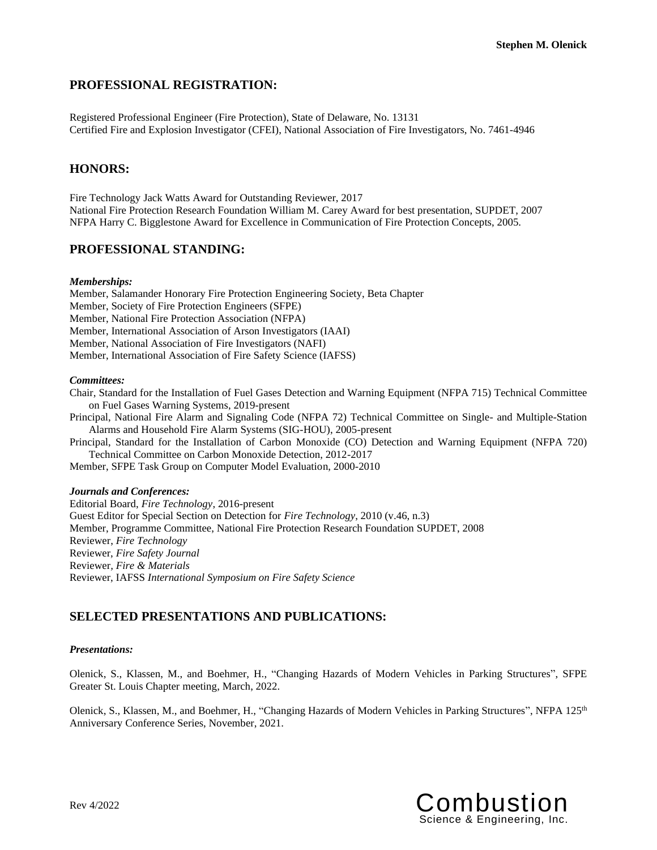# **PROFESSIONAL REGISTRATION:**

Registered Professional Engineer (Fire Protection), State of Delaware, No. 13131 Certified Fire and Explosion Investigator (CFEI), National Association of Fire Investigators, No. 7461-4946

# **HONORS:**

Fire Technology Jack Watts Award for Outstanding Reviewer, 2017 National Fire Protection Research Foundation William M. Carey Award for best presentation, SUPDET, 2007 NFPA Harry C. Bigglestone Award for Excellence in Communication of Fire Protection Concepts, 2005.

### **PROFESSIONAL STANDING:**

#### *Memberships:*

Member, Salamander Honorary Fire Protection Engineering Society, Beta Chapter Member, Society of Fire Protection Engineers (SFPE) Member, National Fire Protection Association (NFPA) Member, International Association of Arson Investigators (IAAI) Member, National Association of Fire Investigators (NAFI) Member, International Association of Fire Safety Science (IAFSS)

### *Committees:*

Chair, Standard for the Installation of Fuel Gases Detection and Warning Equipment (NFPA 715) Technical Committee on Fuel Gases Warning Systems, 2019-present

Principal, National Fire Alarm and Signaling Code (NFPA 72) Technical Committee on Single- and Multiple-Station Alarms and Household Fire Alarm Systems (SIG-HOU), 2005-present

Principal, Standard for the Installation of Carbon Monoxide (CO) Detection and Warning Equipment (NFPA 720) Technical Committee on Carbon Monoxide Detection, 2012-2017

Member, SFPE Task Group on Computer Model Evaluation, 2000-2010

#### *Journals and Conferences:*

Editorial Board, *Fire Technology*, 2016-present Guest Editor for Special Section on Detection for *Fire Technology*, 2010 (v.46, n.3) Member, Programme Committee, National Fire Protection Research Foundation SUPDET, 2008 Reviewer, *Fire Technology* Reviewer, *Fire Safety Journal* Reviewer*, Fire & Materials* Reviewer, IAFSS *International Symposium on Fire Safety Science*

# **SELECTED PRESENTATIONS AND PUBLICATIONS:**

#### *Presentations:*

Olenick, S., Klassen, M., and Boehmer, H., "Changing Hazards of Modern Vehicles in Parking Structures", SFPE Greater St. Louis Chapter meeting, March, 2022.

Olenick, S., Klassen, M., and Boehmer, H., "Changing Hazards of Modern Vehicles in Parking Structures", NFPA 125th Anniversary Conference Series, November, 2021.

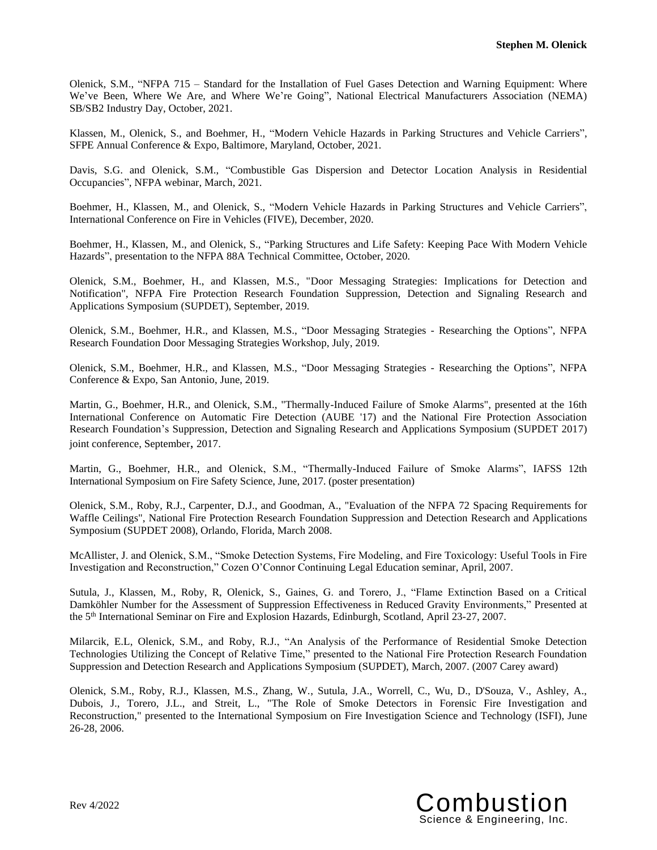Olenick, S.M., "NFPA 715 – Standard for the Installation of Fuel Gases Detection and Warning Equipment: Where We've Been, Where We Are, and Where We're Going", National Electrical Manufacturers Association (NEMA) SB/SB2 Industry Day, October, 2021.

Klassen, M., Olenick, S., and Boehmer, H., "Modern Vehicle Hazards in Parking Structures and Vehicle Carriers", SFPE Annual Conference & Expo, Baltimore, Maryland, October, 2021.

Davis, S.G. and Olenick, S.M., "Combustible Gas Dispersion and Detector Location Analysis in Residential Occupancies", NFPA webinar, March, 2021.

Boehmer, H., Klassen, M., and Olenick, S., "Modern Vehicle Hazards in Parking Structures and Vehicle Carriers", International Conference on Fire in Vehicles (FIVE), December, 2020.

Boehmer, H., Klassen, M., and Olenick, S., "Parking Structures and Life Safety: Keeping Pace With Modern Vehicle Hazards", presentation to the NFPA 88A Technical Committee, October, 2020.

Olenick, S.M., Boehmer, H., and Klassen, M.S., "Door Messaging Strategies: Implications for Detection and Notification", NFPA Fire Protection Research Foundation Suppression, Detection and Signaling Research and Applications Symposium (SUPDET), September, 2019.

Olenick, S.M., Boehmer, H.R., and Klassen, M.S., "Door Messaging Strategies - Researching the Options", NFPA Research Foundation Door Messaging Strategies Workshop, July, 2019.

Olenick, S.M., Boehmer, H.R., and Klassen, M.S., "Door Messaging Strategies - Researching the Options", NFPA Conference & Expo, San Antonio, June, 2019.

Martin, G., Boehmer, H.R., and Olenick, S.M., "Thermally-Induced Failure of Smoke Alarms", presented at the 16th International Conference on Automatic Fire Detection (AUBE '17) and the National Fire Protection Association Research Foundation's Suppression, Detection and Signaling Research and Applications Symposium (SUPDET 2017) joint conference, September, 2017.

Martin, G., Boehmer, H.R., and Olenick, S.M., "Thermally-Induced Failure of Smoke Alarms", IAFSS 12th International Symposium on Fire Safety Science, June, 2017. (poster presentation)

Olenick, S.M., Roby, R.J., Carpenter, D.J., and Goodman, A., "Evaluation of the NFPA 72 Spacing Requirements for Waffle Ceilings", National Fire Protection Research Foundation Suppression and Detection Research and Applications Symposium (SUPDET 2008), Orlando, Florida, March 2008.

McAllister, J. and Olenick, S.M., "Smoke Detection Systems, Fire Modeling, and Fire Toxicology: Useful Tools in Fire Investigation and Reconstruction," Cozen O'Connor Continuing Legal Education seminar, April, 2007.

Sutula, J., Klassen, M., Roby, R, Olenick, S., Gaines, G. and Torero, J., "Flame Extinction Based on a Critical Damköhler Number for the Assessment of Suppression Effectiveness in Reduced Gravity Environments," Presented at the 5th International Seminar on Fire and Explosion Hazards, Edinburgh, Scotland, April 23-27, 2007.

Milarcik, E.L, Olenick, S.M., and Roby, R.J., "An Analysis of the Performance of Residential Smoke Detection Technologies Utilizing the Concept of Relative Time," presented to the National Fire Protection Research Foundation Suppression and Detection Research and Applications Symposium (SUPDET), March, 2007. (2007 Carey award)

Olenick, S.M., Roby, R.J., Klassen, M.S., Zhang, W., Sutula, J.A., Worrell, C., Wu, D., D'Souza, V., Ashley, A., Dubois, J., Torero, J.L., and Streit, L., "The Role of Smoke Detectors in Forensic Fire Investigation and Reconstruction," presented to the International Symposium on Fire Investigation Science and Technology (ISFI), June 26-28, 2006.

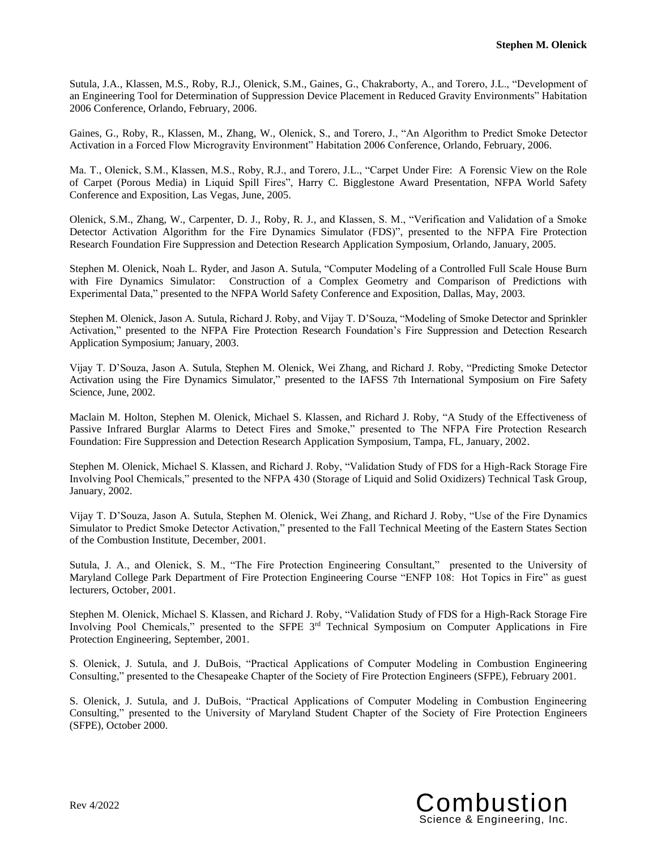Sutula, J.A., Klassen, M.S., Roby, R.J., Olenick, S.M., Gaines, G., Chakraborty, A., and Torero, J.L., "Development of an Engineering Tool for Determination of Suppression Device Placement in Reduced Gravity Environments" Habitation 2006 Conference, Orlando, February, 2006.

Gaines, G., Roby, R., Klassen, M., Zhang, W., Olenick, S., and Torero, J., "An Algorithm to Predict Smoke Detector Activation in a Forced Flow Microgravity Environment" Habitation 2006 Conference, Orlando, February, 2006.

Ma. T., Olenick, S.M., Klassen, M.S., Roby, R.J., and Torero, J.L., "Carpet Under Fire: A Forensic View on the Role of Carpet (Porous Media) in Liquid Spill Fires", Harry C. Bigglestone Award Presentation, NFPA World Safety Conference and Exposition, Las Vegas, June, 2005.

Olenick, S.M., Zhang, W., Carpenter, D. J., Roby, R. J., and Klassen, S. M., "Verification and Validation of a Smoke Detector Activation Algorithm for the Fire Dynamics Simulator (FDS)", presented to the NFPA Fire Protection Research Foundation Fire Suppression and Detection Research Application Symposium, Orlando, January, 2005.

Stephen M. Olenick, Noah L. Ryder, and Jason A. Sutula, "Computer Modeling of a Controlled Full Scale House Burn with Fire Dynamics Simulator: Construction of a Complex Geometry and Comparison of Predictions with Experimental Data," presented to the NFPA World Safety Conference and Exposition, Dallas, May, 2003.

Stephen M. Olenick, Jason A. Sutula, Richard J. Roby, and Vijay T. D'Souza, "Modeling of Smoke Detector and Sprinkler Activation," presented to the NFPA Fire Protection Research Foundation's Fire Suppression and Detection Research Application Symposium; January, 2003.

Vijay T. D'Souza, Jason A. Sutula, Stephen M. Olenick, Wei Zhang, and Richard J. Roby, "Predicting Smoke Detector Activation using the Fire Dynamics Simulator," presented to the IAFSS 7th International Symposium on Fire Safety Science, June, 2002.

Maclain M. Holton, Stephen M. Olenick, Michael S. Klassen, and Richard J. Roby, "A Study of the Effectiveness of Passive Infrared Burglar Alarms to Detect Fires and Smoke," presented to The NFPA Fire Protection Research Foundation: Fire Suppression and Detection Research Application Symposium, Tampa, FL, January, 2002.

Stephen M. Olenick, Michael S. Klassen, and Richard J. Roby, "Validation Study of FDS for a High-Rack Storage Fire Involving Pool Chemicals," presented to the NFPA 430 (Storage of Liquid and Solid Oxidizers) Technical Task Group, January, 2002.

Vijay T. D'Souza, Jason A. Sutula, Stephen M. Olenick, Wei Zhang, and Richard J. Roby, "Use of the Fire Dynamics Simulator to Predict Smoke Detector Activation," presented to the Fall Technical Meeting of the Eastern States Section of the Combustion Institute, December, 2001.

Sutula, J. A., and Olenick, S. M., "The Fire Protection Engineering Consultant," presented to the University of Maryland College Park Department of Fire Protection Engineering Course "ENFP 108: Hot Topics in Fire" as guest lecturers, October, 2001.

Stephen M. Olenick, Michael S. Klassen, and Richard J. Roby, "Validation Study of FDS for a High-Rack Storage Fire Involving Pool Chemicals," presented to the SFPE 3<sup>rd</sup> Technical Symposium on Computer Applications in Fire Protection Engineering, September, 2001.

S. Olenick, J. Sutula, and J. DuBois, "Practical Applications of Computer Modeling in Combustion Engineering Consulting," presented to the Chesapeake Chapter of the Society of Fire Protection Engineers (SFPE), February 2001.

S. Olenick, J. Sutula, and J. DuBois, "Practical Applications of Computer Modeling in Combustion Engineering Consulting," presented to the University of Maryland Student Chapter of the Society of Fire Protection Engineers (SFPE), October 2000.

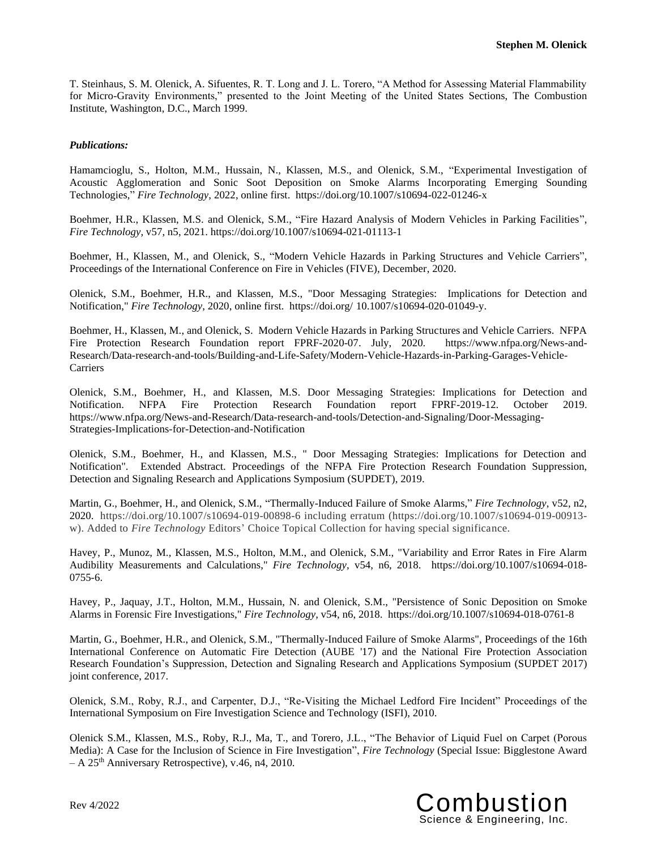T. Steinhaus, S. M. Olenick, A. Sifuentes, R. T. Long and J. L. Torero, "A Method for Assessing Material Flammability for Micro-Gravity Environments," presented to the Joint Meeting of the United States Sections, The Combustion Institute, Washington, D.C., March 1999.

### *Publications:*

Hamamcioglu, S., Holton, M.M., Hussain, N., Klassen, M.S., and Olenick, S.M., "Experimental Investigation of Acoustic Agglomeration and Sonic Soot Deposition on Smoke Alarms Incorporating Emerging Sounding Technologies," *Fire Technology*, 2022, online first. https://doi.org/10.1007/s10694-022-01246-x

Boehmer, H.R., Klassen, M.S. and Olenick, S.M., "Fire Hazard Analysis of Modern Vehicles in Parking Facilities", *Fire Technology,* v57, n5, 2021. https://doi.org/10.1007/s10694-021-01113-1

Boehmer, H., Klassen, M., and Olenick, S., "Modern Vehicle Hazards in Parking Structures and Vehicle Carriers", Proceedings of the International Conference on Fire in Vehicles (FIVE), December, 2020.

Olenick, S.M., Boehmer, H.R., and Klassen, M.S., "Door Messaging Strategies: Implications for Detection and Notification," *Fire Technology*, 2020, online first. https://doi.org/ 10.1007/s10694-020-01049-y.

Boehmer, H., Klassen, M., and Olenick, S. Modern Vehicle Hazards in Parking Structures and Vehicle Carriers. NFPA Fire Protection Research Foundation report FPRF-2020-07. July, 2020. https://www.nfpa.org/News-and-Research/Data-research-and-tools/Building-and-Life-Safety/Modern-Vehicle-Hazards-in-Parking-Garages-Vehicle-**Carriers** 

Olenick, S.M., Boehmer, H., and Klassen, M.S. Door Messaging Strategies: Implications for Detection and Notification. NFPA Fire Protection Research Foundation report FPRF-2019-12. October 2019. https://www.nfpa.org/News-and-Research/Data-research-and-tools/Detection-and-Signaling/Door-Messaging-Strategies-Implications-for-Detection-and-Notification

Olenick, S.M., Boehmer, H., and Klassen, M.S., " Door Messaging Strategies: Implications for Detection and Notification". Extended Abstract. Proceedings of the NFPA Fire Protection Research Foundation Suppression, Detection and Signaling Research and Applications Symposium (SUPDET), 2019.

Martin, G., Boehmer, H., and Olenick, S.M., "Thermally-Induced Failure of Smoke Alarms," *Fire Technology*, v52, n2, 2020. https://doi.org/10.1007/s10694-019-00898-6 including erratum (https://doi.org/10.1007/s10694-019-00913 w). Added to *Fire Technology* Editors' Choice Topical Collection for having special significance.

Havey, P., Munoz, M., Klassen, M.S., Holton, M.M., and Olenick, S.M., "Variability and Error Rates in Fire Alarm Audibility Measurements and Calculations," *Fire Technology*, v54, n6, 2018. https://doi.org/10.1007/s10694-018- 0755-6.

Havey, P., Jaquay, J.T., Holton, M.M., Hussain, N. and Olenick, S.M., "Persistence of Sonic Deposition on Smoke Alarms in Forensic Fire Investigations," *Fire Technology*, v54, n6, 2018. https://doi.org/10.1007/s10694-018-0761-8

Martin, G., Boehmer, H.R., and Olenick, S.M., "Thermally-Induced Failure of Smoke Alarms", Proceedings of the 16th International Conference on Automatic Fire Detection (AUBE '17) and the National Fire Protection Association Research Foundation's Suppression, Detection and Signaling Research and Applications Symposium (SUPDET 2017) joint conference, 2017.

Olenick, S.M., Roby, R.J., and Carpenter, D.J., "Re-Visiting the Michael Ledford Fire Incident" Proceedings of the International Symposium on Fire Investigation Science and Technology (ISFI), 2010.

Olenick S.M., Klassen, M.S., Roby, R.J., Ma, T., and Torero, J.L., "The Behavior of Liquid Fuel on Carpet (Porous Media): A Case for the Inclusion of Science in Fire Investigation", *Fire Technology* (Special Issue: Bigglestone Award  $- A 25<sup>th</sup>$  Anniversary Retrospective), v.46, n4, 2010.

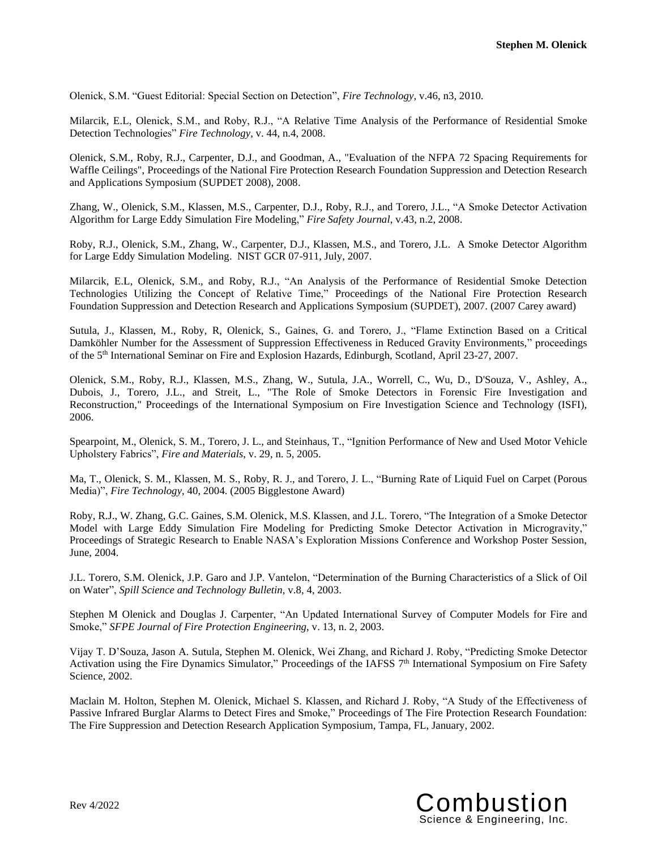Olenick, S.M. "Guest Editorial: Special Section on Detection", *Fire Technology*, v.46, n3, 2010.

Milarcik, E.L, Olenick, S.M., and Roby, R.J., "A Relative Time Analysis of the Performance of Residential Smoke Detection Technologies" *Fire Technology,* v. 44, n.4, 2008.

Olenick, S.M., Roby, R.J., Carpenter, D.J., and Goodman, A., "Evaluation of the NFPA 72 Spacing Requirements for Waffle Ceilings", Proceedings of the National Fire Protection Research Foundation Suppression and Detection Research and Applications Symposium (SUPDET 2008), 2008.

Zhang, W., Olenick, S.M., Klassen, M.S., Carpenter, D.J., Roby, R.J., and Torero, J.L., "A Smoke Detector Activation Algorithm for Large Eddy Simulation Fire Modeling," *Fire Safety Journal*, v.43, n.2, 2008.

Roby, R.J., Olenick, S.M., Zhang, W., Carpenter, D.J., Klassen, M.S., and Torero, J.L. A Smoke Detector Algorithm for Large Eddy Simulation Modeling. NIST GCR 07-911, July, 2007.

Milarcik, E.L, Olenick, S.M., and Roby, R.J., "An Analysis of the Performance of Residential Smoke Detection Technologies Utilizing the Concept of Relative Time," Proceedings of the National Fire Protection Research Foundation Suppression and Detection Research and Applications Symposium (SUPDET), 2007. (2007 Carey award)

Sutula, J., Klassen, M., Roby, R, Olenick, S., Gaines, G. and Torero, J., "Flame Extinction Based on a Critical Damköhler Number for the Assessment of Suppression Effectiveness in Reduced Gravity Environments," proceedings of the 5 th International Seminar on Fire and Explosion Hazards, Edinburgh, Scotland, April 23-27, 2007.

Olenick, S.M., Roby, R.J., Klassen, M.S., Zhang, W., Sutula, J.A., Worrell, C., Wu, D., D'Souza, V., Ashley, A., Dubois, J., Torero, J.L., and Streit, L., "The Role of Smoke Detectors in Forensic Fire Investigation and Reconstruction," Proceedings of the International Symposium on Fire Investigation Science and Technology (ISFI), 2006.

Spearpoint, M., Olenick, S. M., Torero, J. L., and Steinhaus, T., "Ignition Performance of New and Used Motor Vehicle Upholstery Fabrics", *Fire and Materials*, v. 29, n. 5, 2005.

Ma, T., Olenick, S. M., Klassen, M. S., Roby, R. J., and Torero, J. L., "Burning Rate of Liquid Fuel on Carpet (Porous Media)", *Fire Technology*, 40, 2004. (2005 Bigglestone Award)

Roby, R.J., W. Zhang, G.C. Gaines, S.M. Olenick, M.S. Klassen, and J.L. Torero, "The Integration of a Smoke Detector Model with Large Eddy Simulation Fire Modeling for Predicting Smoke Detector Activation in Microgravity," Proceedings of Strategic Research to Enable NASA's Exploration Missions Conference and Workshop Poster Session, June, 2004.

J.L. Torero, S.M. Olenick, J.P. Garo and J.P. Vantelon, "Determination of the Burning Characteristics of a Slick of Oil on Water", *Spill Science and Technology Bulletin*, v.8, 4, 2003.

Stephen M Olenick and Douglas J. Carpenter, "An Updated International Survey of Computer Models for Fire and Smoke," *SFPE Journal of Fire Protection Engineering*, v. 13, n. 2, 2003.

Vijay T. D'Souza, Jason A. Sutula, Stephen M. Olenick, Wei Zhang, and Richard J. Roby, "Predicting Smoke Detector Activation using the Fire Dynamics Simulator," Proceedings of the IAFSS 7<sup>th</sup> International Symposium on Fire Safety Science, 2002.

Maclain M. Holton, Stephen M. Olenick, Michael S. Klassen, and Richard J. Roby, "A Study of the Effectiveness of Passive Infrared Burglar Alarms to Detect Fires and Smoke," Proceedings of The Fire Protection Research Foundation: The Fire Suppression and Detection Research Application Symposium, Tampa, FL, January, 2002.